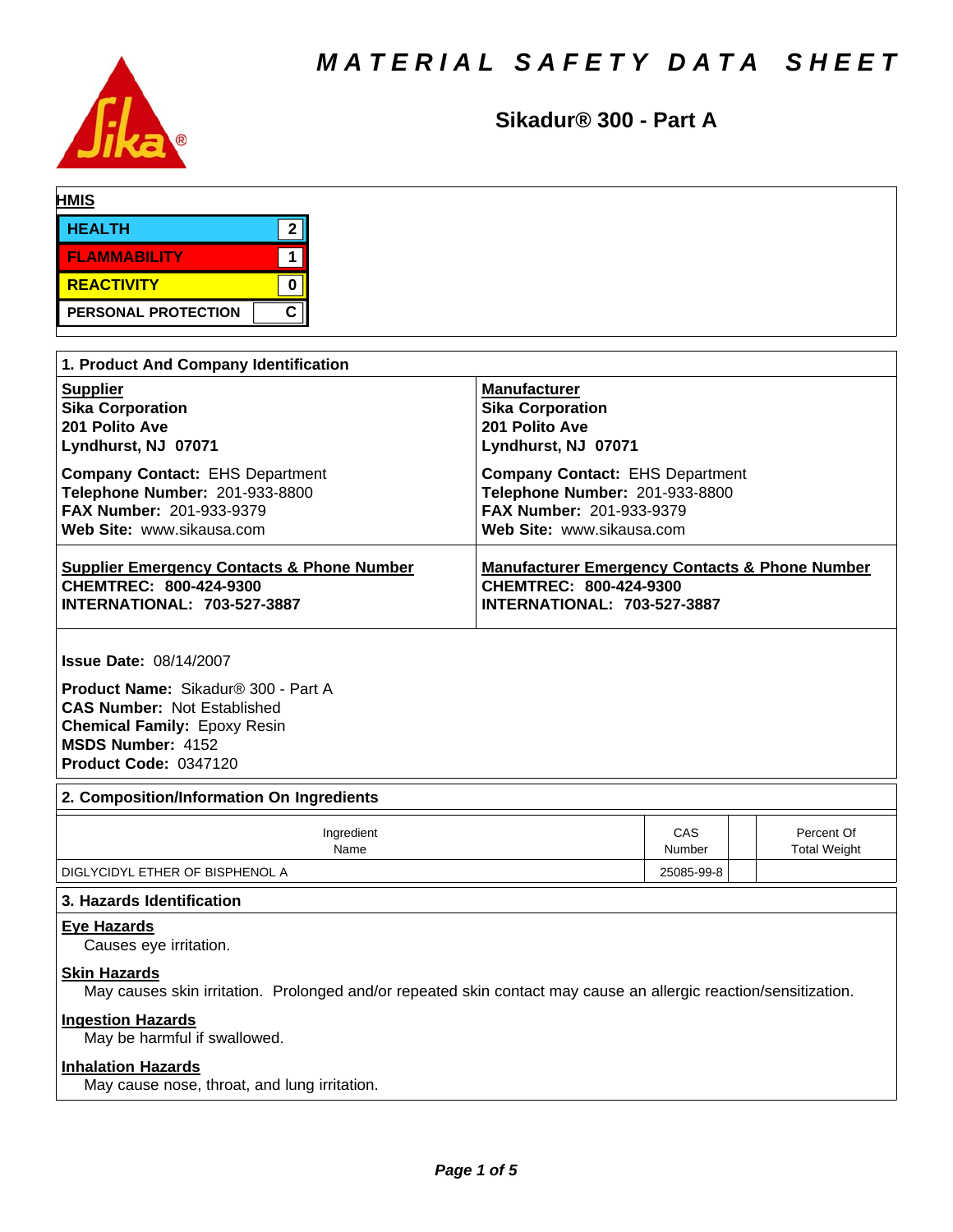

**Sikadur® 300 - Part A**

| <b>HEALTH</b>       |        |
|---------------------|--------|
| <b>FLAMMABILITY</b> |        |
| <b>REACTIVITY</b>   |        |
| PERSONAL PROTECTION | $\sim$ |

| 1. Product And Company Identification                 |                                                           |  |  |  |  |
|-------------------------------------------------------|-----------------------------------------------------------|--|--|--|--|
| <b>Supplier</b>                                       | <b>Manufacturer</b>                                       |  |  |  |  |
| <b>Sika Corporation</b>                               | <b>Sika Corporation</b>                                   |  |  |  |  |
| 201 Polito Ave                                        | 201 Polito Ave                                            |  |  |  |  |
| Lyndhurst, NJ 07071                                   | Lyndhurst, NJ 07071                                       |  |  |  |  |
| <b>Company Contact: EHS Department</b>                | <b>Company Contact: EHS Department</b>                    |  |  |  |  |
| Telephone Number: 201-933-8800                        | Telephone Number: 201-933-8800                            |  |  |  |  |
| FAX Number: 201-933-9379                              | FAX Number: 201-933-9379                                  |  |  |  |  |
| Web Site: www.sikausa.com                             | Web Site: www.sikausa.com                                 |  |  |  |  |
| <b>Supplier Emergency Contacts &amp; Phone Number</b> | <b>Manufacturer Emergency Contacts &amp; Phone Number</b> |  |  |  |  |
| CHEMTREC: 800-424-9300                                | <b>CHEMTREC: 800-424-9300</b>                             |  |  |  |  |
| <b>INTERNATIONAL: 703-527-3887</b>                    | <b>INTERNATIONAL: 703-527-3887</b>                        |  |  |  |  |

**Issue Date:** 08/14/2007

**Product Name:** Sikadur®300-PartA **CAS Number:** Not Established **Chemical Family:** Epoxy Resin **MSDS Number:** 4152 **Product Code:** 0347120

#### **2. Composition/Information On Ingredients**

| Ingredient                      | CAS    | Percent Of          |
|---------------------------------|--------|---------------------|
| Name                            | Number | <b>Total Weight</b> |
| DIGLYCIDYL ETHER OF BISPHENOL A |        |                     |

## **3. Hazards Identification**

#### **Eye Hazards**

Causes eye irritation.

#### **Skin Hazards**

May causes skin irritation. Prolonged and/or repeated skin contact may cause an allergic reaction/sensitization.

### **Ingestion Hazards**

May be harmful if swallowed.

#### **Inhalation Hazards**

May cause nose, throat, and lung irritation.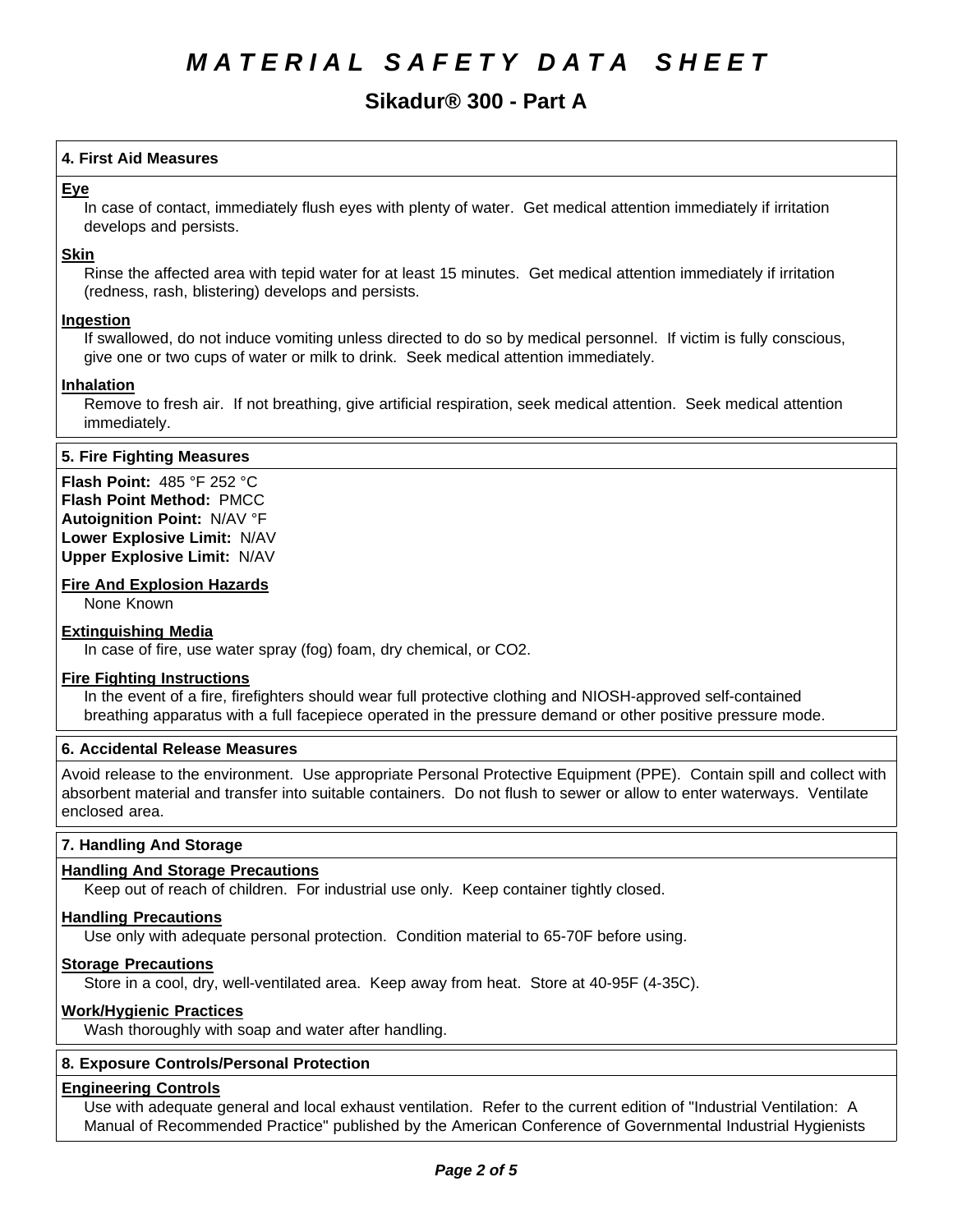# **Sikadur® 300 - Part A**

# **4.First AidMeasures**

#### **Eye**

In case of contact, immediately flush eyes with plenty of water. Get medical attention immediately if irritation develops and persists.

#### **Skin**

Rinse the affected area with tepid water for at least 15 minutes. Get medical attention immediately if irritation (redness, rash, blistering) develops and persists.

#### **Ingestion**

If swallowed, do not induce vomiting unless directed to do so by medical personnel. If victim is fully conscious, give one or two cups of water or milk to drink. Seek medical attention immediately.

#### **Inhalation**

Remove to fresh air. If not breathing, give artificial respiration, seek medical attention. Seek medical attention immediately.

#### **5. Fire Fighting Measures**

**Flash Point:** 485°F252°C **Flash Point Method:** PMCC **Autoignition Point:** N/AV°F **Lower Explosive Limit:** N/AV **Upper Explosive Limit:** N/AV

#### **Fire And Explosion Hazards**

None Known

#### **Extinguishing Media**

In case of fire, use water spray (fog) foam, dry chemical, or CO2.

#### **Fire Fighting Instructions**

In the event of a fire, firefighters should wear full protective clothing and NIOSH-approved self-contained breathing apparatus with a full facepiece operated in the pressure demand or other positive pressure mode.

#### **6. Accidental Release Measures**

Avoid release to the environment. Use appropriate Personal Protective Equipment (PPE). Contain spill and collect with absorbent material and transfer into suitable containers. Do not flush to sewer or allow to enter waterways. Ventilate enclosed area.

#### **7. Handling And Storage**

## **Handling And Storage Precautions**

Keep out of reach of children. For industrial use only. Keep container tightly closed.

#### **Handling Precautions**

Use only with adequate personal protection. Condition material to 65-70F before using.

#### **Storage Precautions**

Store in a cool, dry, well-ventilated area. Keep away from heat. Store at 40-95F (4-35C).

#### **Work/Hygienic Practices**

Wash thoroughly with soap and water after handling.

#### **8. Exposure Controls/Personal Protection**

#### **Engineering Controls**

Use with adequate general and local exhaust ventilation. Refer to the current edition of "Industrial Ventilation: A Manual of Recommended Practice" published by the American Conference of Governmental Industrial Hygienists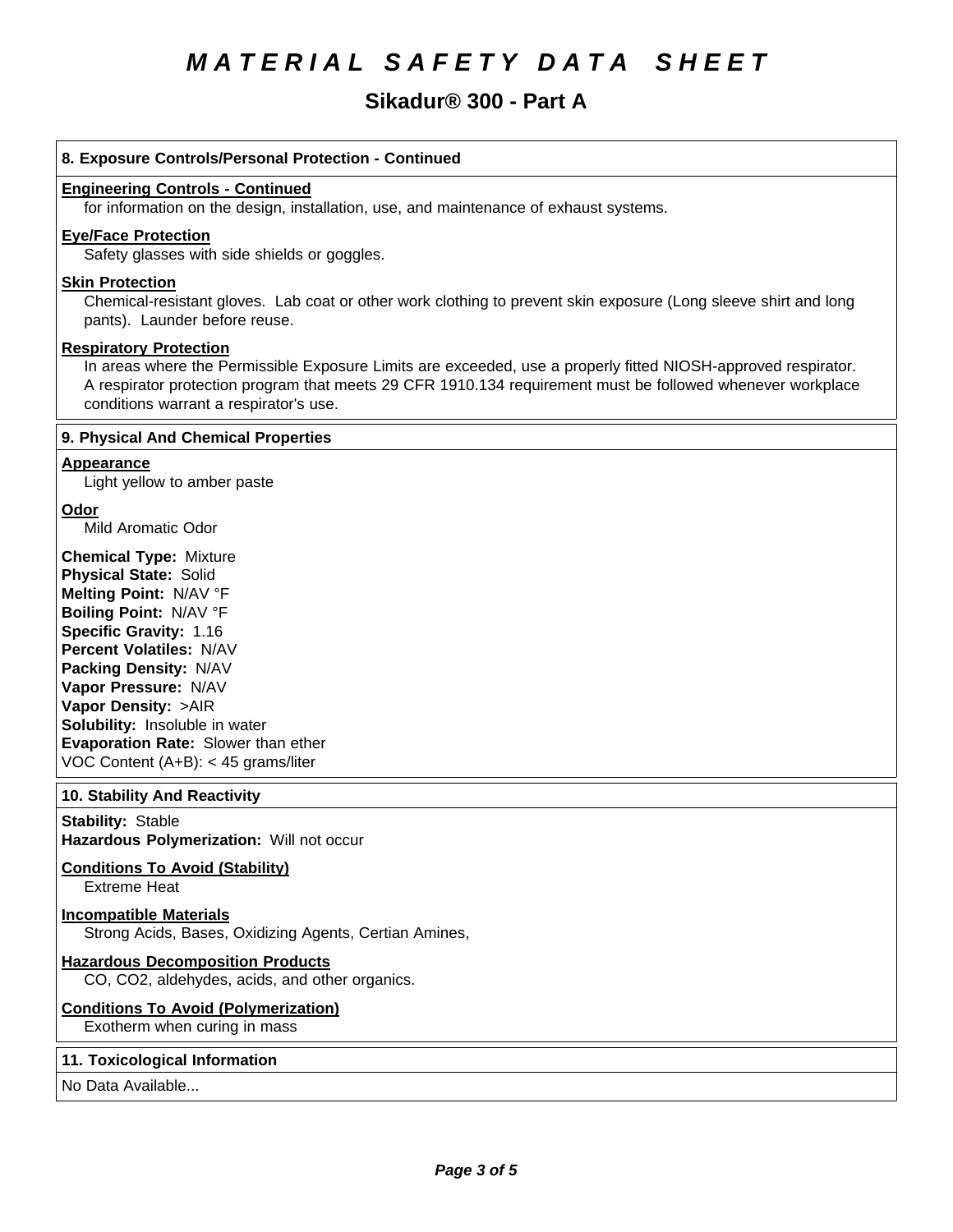# *MATERIAL SAFETY DATA SHEET*

# **Sikadur® 300 - Part A**

#### **8. Exposure Controls/Personal Protection - Continued**

#### **Engineering Controls - Continued**

for information on the design, installation, use, and maintenance of exhaust systems.

#### **Eye/Face Protection**

Safety glasses with side shields or goggles.

#### **Skin Protection**

Chemical-resistant gloves. Lab coat or other work clothing to prevent skin exposure (Long sleeve shirt and long pants). Launder before reuse.

#### **Respiratory Protection**

In areas where the Permissible Exposure Limits are exceeded, use a properly fitted NIOSH-approved respirator. A respirator protection program that meets 29 CFR 1910.134 requirement must be followed whenever workplace conditions warrant a respirator's use.

#### **9. PhysicalAnd Chemical Properties**

#### **Appearance**

Light yellow to amber paste

# **Odor**

Mild Aromatic Odor

**Chemical Type:** Mixture **Physical State:** Solid **Melting Point:** N/AV°F **Boiling Point:** N/AV°F **Specific Gravity:** 1.16 **Percent Volatiles:** N/AV **Packing Density:** N/AV **Vapor Pressure:** N/AV **Vapor Density:** >AIR **Solubility:** Insoluble in water **Evaporation Rate:** Slower than ether VOC Content (A+B): < 45 grams/liter

#### **10. Stability And Reactivity**

**Stability: Stable Hazardous Polymerization: Will not occur** 

# **Conditions To Avoid (Stability)**

Extreme Heat

# **Incompatible Materials**

Strong Acids, Bases, Oxidizing Agents, Certian Amines,

# **Hazardous Decomposition Products**

CO, CO2, aldehydes, acids, and other organics.

#### **Conditions To Avoid (Polymerization)**

Exotherm when curing in mass

#### **11. Toxicological Information**

No Data Available...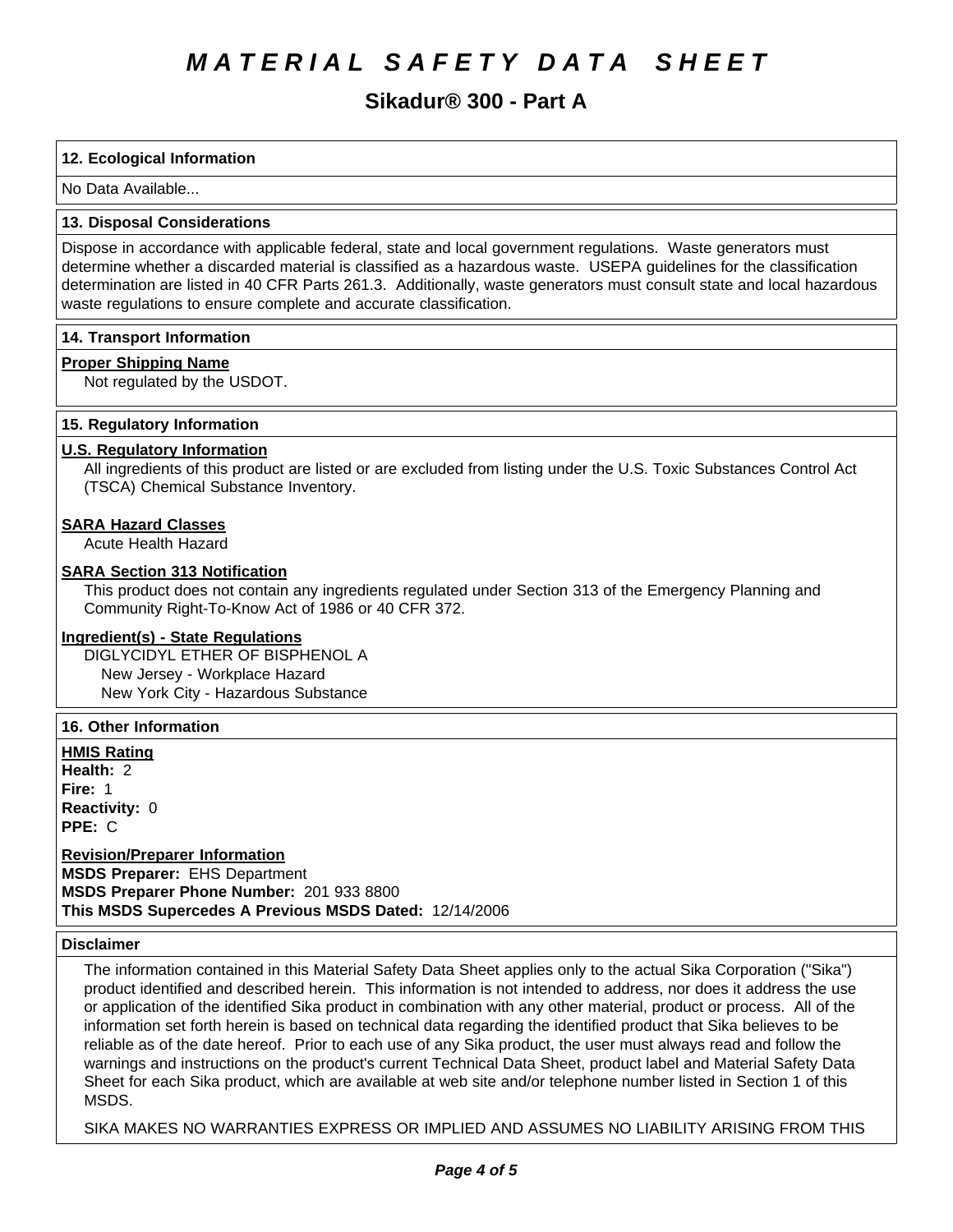# *MATERIAL SAFETY DATA SHEET*

# **Sikadur® 300 - Part A**

# **12. Ecological Information**

No Data Available...

#### **13. Disposal Considerations**

Dispose in accordance with applicable federal, state and local government regulations. Waste generators must determine whether a discarded material is classified as a hazardous waste. USEPA guidelines for the classification determination are listed in 40 CFR Parts 261.3. Additionally, waste generators must consult state and local hazardous waste regulations to ensure complete and accurate classification.

#### **14. Transport Information**

#### **Proper Shipping Name**

Not regulated by the USDOT.

#### **15. Regulatory Information**

## **U.S. Regulatory Information**

All ingredients of this product are listed or are excluded from listing under the U.S. Toxic Substances Control Act (TSCA) Chemical Substance Inventory.

#### **SARA Hazard Classes**

Acute Health Hazard

# **SARA Section 313 Notification**

This product does not contain any ingredients regulated under Section 313 of the Emergency Planning and Community Right-To-Know Act of 1986 or 40 CFR 372.

#### **Ingredient(s) - State Regulations**

DIGLYCIDYL ETHER OF BISPHENOL A New Jersey - Workplace Hazard New York City - Hazardous Substance

## **16. Other Information**

**HMIS Rating**

**Health: 2 Fire: 1 Reactivity: 0 PPE: C** 

## **Revision/Preparer Information**

**MSDS Preparer:** EHS Department **MSDS Preparer Phone Number:** 201 933 8800 This MSDS Supercedes A Previous MSDS Dated: 12/14/2006

#### **Disclaimer**

The information contained in this Material Safety Data Sheet applies only to the actual Sika Corporation ("Sika") product identified and described herein. This information is not intended to address, nor does it address the use or application of the identified Sika product in combination with any other material, product or process. All of the information set forth herein is based on technical data regarding the identified product that Sika believes to be reliable as of the date hereof. Prior to each use of any Sika product, the user must always read and follow the warnings and instructions on the product's current Technical Data Sheet, product label and Material Safety Data Sheet for each Sika product, which are available at web site and/or telephone number listed in Section 1 of this MSDS.

SIKA MAKES NO WARRANTIES EXPRESS OR IMPLIED AND ASSUMES NO LIABILITY ARISING FROM THIS